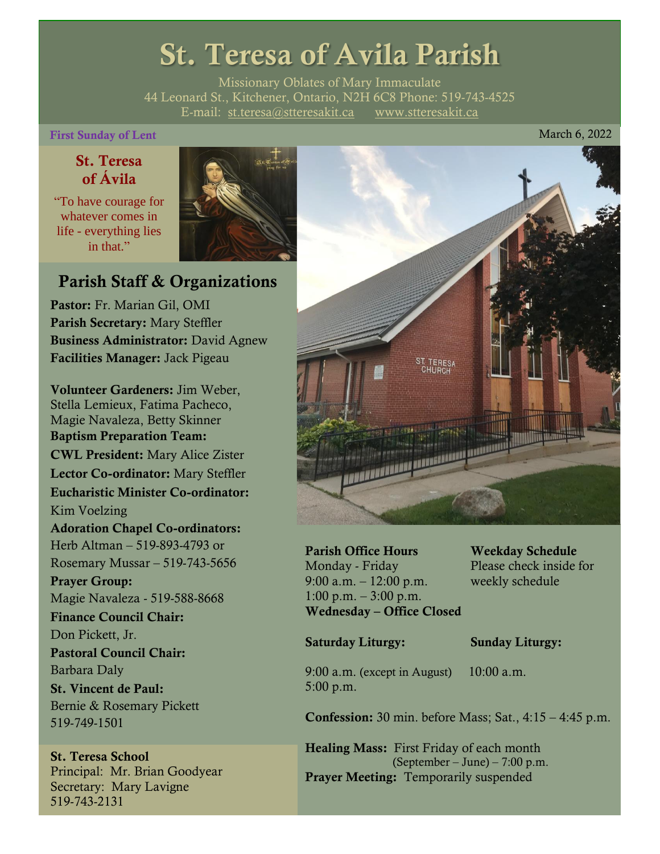# St. Teresa of Avila Parish

Missionary Oblates of Mary Immaculate 44 Leonard St., Kitchener, Ontario, N2H 6C8 Phone: 519-743-4525 E-mail: [st.teresa@stteresakit.ca](mailto:st.teresa@stteresakit.ca) [www.stteresakit.ca](http://www.stteresakit.ca/)

### First Sunday of Lent March 6, 2022

# St. Teresa of Ávila

"To have courage for whatever comes in life - everything lies in that"



# Parish Staff & Organizations

Pastor: Fr. Marian Gil, OMI Parish Secretary: Mary Steffler Business Administrator: David Agnew Facilities Manager: Jack Pigeau

Volunteer Gardeners: Jim Weber, Stella Lemieux, Fatima Pacheco, Magie Navaleza, Betty Skinner Baptism Preparation Team: CWL President: Mary Alice Zister Lector Co-ordinator: Mary Steffler Eucharistic Minister Co-ordinator: Kim Voelzing Adoration Chapel Co-ordinators: Herb Altman – 519-893-4793 or Rosemary Mussar – 519-743-5656 Prayer Group: Magie Navaleza - 519-588-8668 Finance Council Chair: Don Pickett, Jr. Pastoral Council Chair: Barbara Daly St. Vincent de Paul: Bernie & Rosemary Pickett 519-749-1501

#### St. Teresa School Principal: Mr. Brian Goodyear Secretary: Mary Lavigne 519-743-2131



Parish Office Hours Weekday Schedule Monday - Friday Please check inside for 9:00 a.m. – 12:00 p.m. weekly schedule  $1:00 \text{ p.m.} - 3:00 \text{ p.m.}$ Wednesday – Office Closed

#### Saturday Liturgy: Sunday Liturgy:

9:00 a.m. (except in August) 10:00 a.m. 5:00 p.m.

Confession: 30 min. before Mass; Sat., 4:15 – 4:45 p.m.

Healing Mass: First Friday of each month (September – June) – 7:00 p.m. Prayer Meeting: Temporarily suspended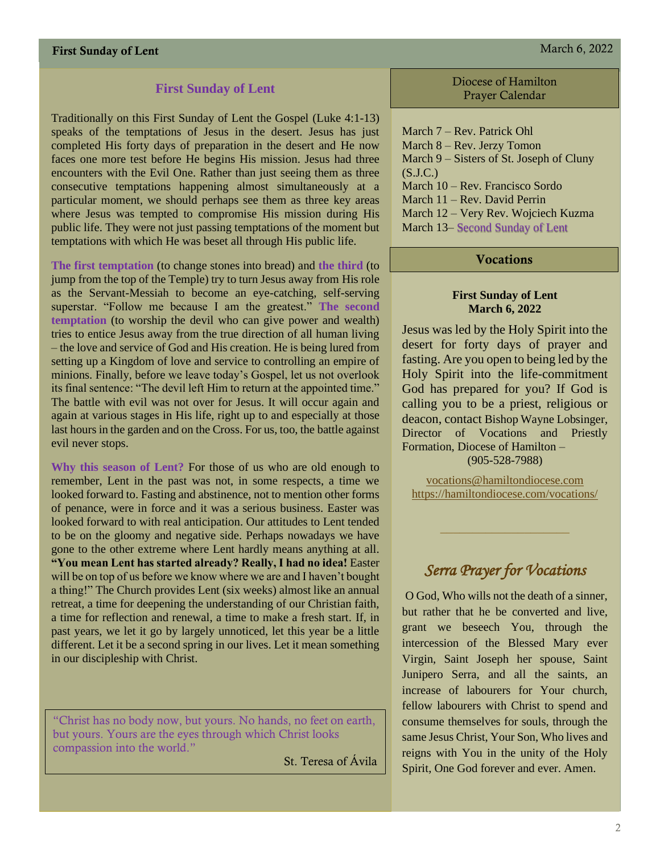### **First Sunday of Lent**

Traditionally on this First Sunday of Lent the Gospel (Luke 4:1-13) speaks of the temptations of Jesus in the desert. Jesus has just completed His forty days of preparation in the desert and He now faces one more test before He begins His mission. Jesus had three encounters with the Evil One. Rather than just seeing them as three consecutive temptations happening almost simultaneously at a particular moment, we should perhaps see them as three key areas where Jesus was tempted to compromise His mission during His public life. They were not just passing temptations of the moment but temptations with which He was beset all through His public life.

**The first temptation** (to change stones into bread) and **the third** (to jump from the top of the Temple) try to turn Jesus away from His role as the Servant-Messiah to become an eye-catching, self-serving superstar. "Follow me because I am the greatest." **The second temptation** (to worship the devil who can give power and wealth) tries to entice Jesus away from the true direction of all human living – the love and service of God and His creation. He is being lured from setting up a Kingdom of love and service to controlling an empire of minions. Finally, before we leave today's Gospel, let us not overlook its final sentence: "The devil left Him to return at the appointed time." The battle with evil was not over for Jesus. It will occur again and again at various stages in His life, right up to and especially at those last hours in the garden and on the Cross. For us, too, the battle against evil never stops.

**Why this season of Lent?** For those of us who are old enough to remember, Lent in the past was not, in some respects, a time we looked forward to. Fasting and abstinence, not to mention other forms of penance, were in force and it was a serious business. Easter was looked forward to with real anticipation. Our attitudes to Lent tended to be on the gloomy and negative side. Perhaps nowadays we have gone to the other extreme where Lent hardly means anything at all. **"You mean Lent has started already? Really, I had no idea!** Easter will be on top of us before we know where we are and I haven't bought a thing!" The Church provides Lent (six weeks) almost like an annual retreat, a time for deepening the understanding of our Christian faith, a time for reflection and renewal, a time to make a fresh start. If, in past years, we let it go by largely unnoticed, let this year be a little different. Let it be a second spring in our lives. Let it mean something in our discipleship with Christ.

"Christ has no body now, but yours. No hands, no feet on earth, but yours. Yours are the eyes through which Christ looks compassion into the world."

St. Teresa of Ávila

Diocese of Hamilton Prayer Calendar

March 7 – Rev. Patrick Ohl March 8 – Rev. Jerzy Tomon March 9 – Sisters of St. Joseph of Cluny  $(S.J.C.)$ March 10 – Rev. Francisco Sordo March 11 – Rev. David Perrin March 12 – Very Rev. Wojciech Kuzma March 13– Second Sunday of Lent

#### **Vocations**

#### **First Sunday of Lent March 6, 2022**

Jesus was led by the Holy Spirit into the desert for forty days of prayer and fasting. Are you open to being led by the Holy Spirit into the life-commitment God has prepared for you? If God is calling you to be a priest, religious or deacon, contact Bishop Wayne Lobsinger, Director of Vocations and Priestly Formation, Diocese of Hamilton – (905-528-7988)

[vocations@hamiltondiocese.com](mailto:vocations@hamiltondiocese.com)  <https://hamiltondiocese.com/vocations/>

# *Serra Prayer for Vocations*

O God, Who wills not the death of a sinner, but rather that he be converted and live, grant we beseech You, through the intercession of the Blessed Mary ever Virgin, Saint Joseph her spouse, Saint Junipero Serra, and all the saints, an increase of labourers for Your church, fellow labourers with Christ to spend and consume themselves for souls, through the same Jesus Christ, Your Son, Who lives and reigns with You in the unity of the Holy Spirit, One God forever and ever. Amen.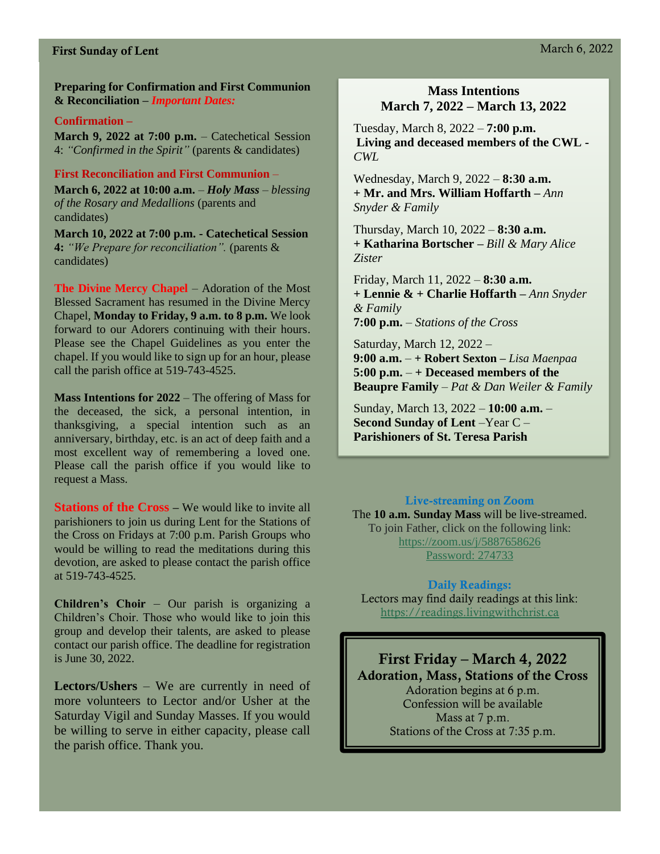#### **Preparing for Confirmation and First Communion & Reconciliation –** *Important Dates:*

#### **Confirmation –**

**March 9, 2022 at 7:00 p.m.** – Catechetical Session 4: *"Confirmed in the Spirit"* (parents & candidates)

#### **First Reconciliation and First Communion** –

**March 6, 2022 at 10:00 a.m.** *– Holy Mass – blessing of the Rosary and Medallions* (parents and candidates)

**March 10, 2022 at 7:00 p.m. - Catechetical Session 4:** *"We Prepare for reconciliation".* (parents & candidates)

**The Divine Mercy Chapel** – Adoration of the Most Blessed Sacrament has resumed in the Divine Mercy Chapel, **Monday to Friday, 9 a.m. to 8 p.m.** We look forward to our Adorers continuing with their hours. Please see the Chapel Guidelines as you enter the chapel. If you would like to sign up for an hour, please call the parish office at 519-743-4525.

**Mass Intentions for 2022** – The offering of Mass for the deceased, the sick, a personal intention, in thanksgiving, a special intention such as an anniversary, birthday, etc. is an act of deep faith and a most excellent way of remembering a loved one. Please call the parish office if you would like to request a Mass.

**Stations of the Cross –** We would like to invite all parishioners to join us during Lent for the Stations of the Cross on Fridays at 7:00 p.m. Parish Groups who would be willing to read the meditations during this devotion, are asked to please contact the parish office at 519-743-4525.

**Children's Choir** – Our parish is organizing a Children's Choir. Those who would like to join this group and develop their talents, are asked to please contact our parish office. The deadline for registration is June 30, 2022.

**Lectors/Ushers** – We are currently in need of more volunteers to Lector and/or Usher at the Saturday Vigil and Sunday Masses. If you would be willing to serve in either capacity, please call the parish office. Thank you.

#### **Mass Intentions March 7, 2022 – March 13, 2022**

Tuesday, March 8, 2022 – **7:00 p.m. Living and deceased members of the CWL -** *CWL*

Wednesday, March 9, 2022 – **8:30 a.m. + Mr. and Mrs. William Hoffarth –** *Ann Snyder & Family*

Thursday, March 10, 2022 – **8:30 a.m. + Katharina Bortscher –** *Bill & Mary Alice Zister*

Friday, March 11, 2022 – **8:30 a.m. + Lennie & + Charlie Hoffarth –** *Ann Snyder & Family* **7:00 p.m.** – *Stations of the Cross*

Saturday, March 12, 2022 – **9:00 a.m.** – **+ Robert Sexton –** *Lisa Maenpaa* **5:00 p.m.** – **+ Deceased members of the Beaupre Family** – *Pat & Dan Weiler & Family*

Sunday, March 13, 2022 – **10:00 a.m.** – **Second Sunday of Lent** –Year C – **Parishioners of St. Teresa Parish** 

#### Live-streaming on Zoom

The **10 a.m. Sunday Mass** will be live-streamed. To join Father, click on the following link: <https://zoom.us/j/5887658626> Password: 274733

#### Daily Readings:

Lectors may find daily readings at this link: [https://readings.livingwithchrist.ca](https://readings.livingwithchrist.ca/)

First Friday – March 4, 2022 Adoration, Mass, Stations of the Cross Adoration begins at 6 p.m. Confession will be available Mass at 7 p.m. Stations of the Cross at 7:35 p.m.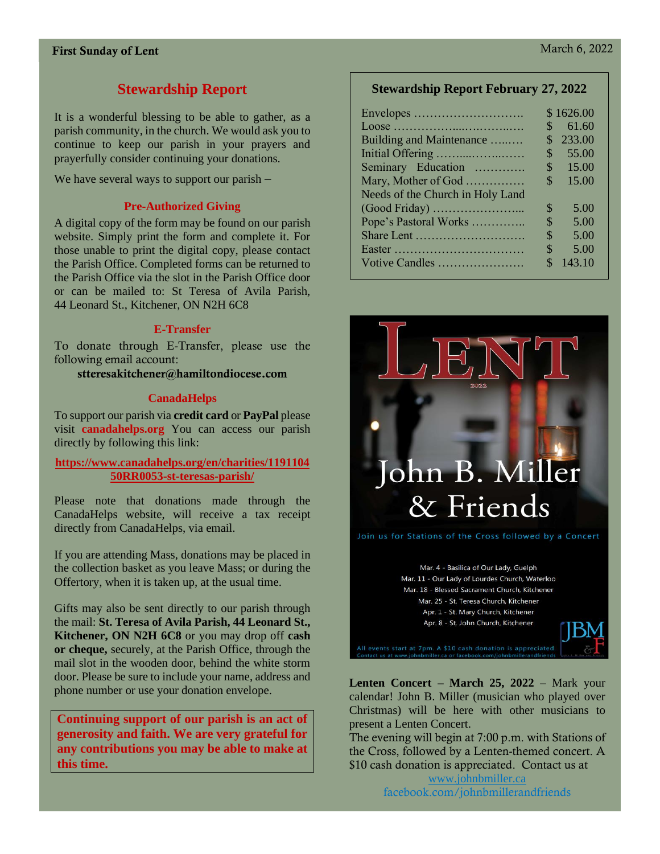# **Stewardship Report**

It is a wonderful blessing to be able to gather, as a parish community, in the church. We would ask you to continue to keep our parish in your prayers and prayerfully consider continuing your donations.

We have several ways to support our parish –

#### **Pre-Authorized Giving**

A digital copy of the form may be found on our parish website. Simply print the form and complete it. For those unable to print the digital copy, please contact the Parish Office. Completed forms can be returned to the Parish Office via the slot in the Parish Office door or can be mailed to: St Teresa of Avila Parish, 44 Leonard St., Kitchener, ON N2H 6C8

#### **E-Transfer**

To donate through E-Transfer, please use the following email account:

stteresakitchener@hamiltondiocese.com

#### **CanadaHelps**

To support our parish via **credit card** or **PayPal** please visit **canadahelps.org** You can access our parish directly by following this link:

**[https://www.canadahelps.org/en/charities/1191104](https://www.canadahelps.org/en/charities/119110450RR0053-st-teresas-parish/) [50RR0053-st-teresas-parish/](https://www.canadahelps.org/en/charities/119110450RR0053-st-teresas-parish/)**

Please note that donations made through the CanadaHelps website, will receive a tax receipt directly from CanadaHelps, via email.

If you are attending Mass, donations may be placed in the collection basket as you leave Mass; or during the Offertory, when it is taken up, at the usual time.

Gifts may also be sent directly to our parish through the mail: **St. Teresa of Avila Parish, 44 Leonard St., Kitchener, ON N2H 6C8** or you may drop off **cash or cheque,** securely, at the Parish Office, through the mail slot in the wooden door, behind the white storm door. Please be sure to include your name, address and phone number or use your donation envelope.

**Continuing support of our parish is an act of generosity and faith. We are very grateful for any contributions you may be able to make at this time.**

#### **Stewardship Report February 27, 2022**

|                                  |                | \$1626.00 |
|----------------------------------|----------------|-----------|
|                                  | S              | 61.60     |
| Building and Maintenance         | S              | 233.00    |
| Initial Offering                 | $\mathcal{S}$  | 55.00     |
| Seminary Education               | $\mathbb{S}^-$ | 15.00     |
| Mary, Mother of God              | \$             | 15.00     |
| Needs of the Church in Holy Land |                |           |
| (Good Friday)                    | \$             | 5.00      |
| Pope's Pastoral Works            | $\mathcal{S}$  | 5.00      |
|                                  | S              | 5.00      |
|                                  | S              | 5.00      |
| Votive Candles                   | ፍ              | 143.10    |



Mar. 4 - Basilica of Our Lady, Guelph Mar. 11 - Our Lady of Lourdes Church, Waterloo Mar. 18 - Blessed Sacrament Church, Kitchener Mar. 25 - St. Teresa Church, Kitchener Apr. 1 - St. Mary Church, Kitchener Apr. 8 - St. John Church, Kitchener



**Lenten Concert – March 25, 2022** – Mark your calendar! John B. Miller (musician who played over Christmas) will be here with other musicians to present a Lenten Concert.

The evening will begin at 7:00 p.m. with Stations of the Cross, followed by a Lenten-themed concert. A \$10 cash donation is appreciated. Contact us at

[www.johnbmiller.ca](http://www.johnbmiller.ca/) facebook.com/johnbmillerandfriends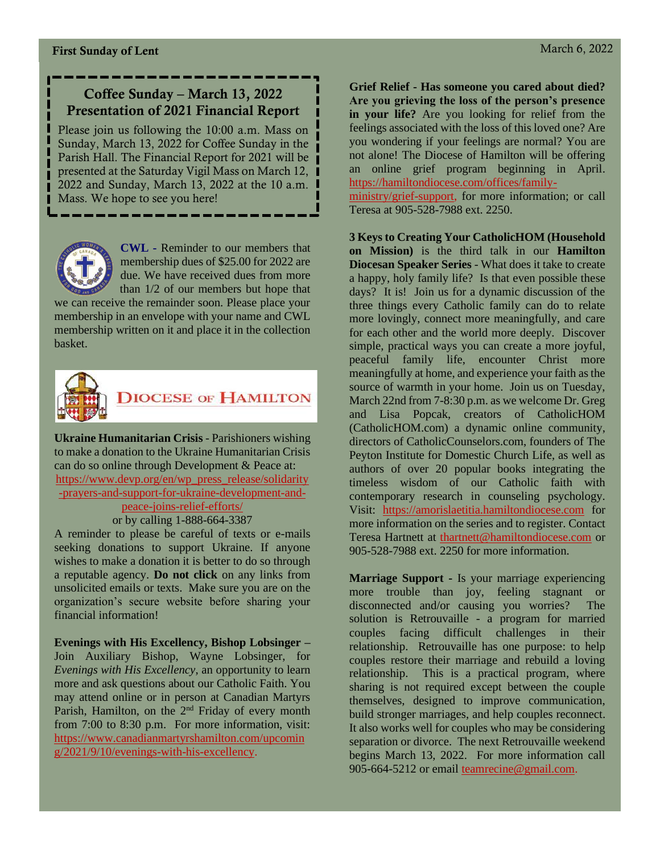# Coffee Sunday – March 13, 2022 Presentation of 2021 Financial Report

Please join us following the 10:00 a.m. Mass on Sunday, March 13, 2022 for Coffee Sunday in the Parish Hall. The Financial Report for 2021 will be presented at the Saturday Vigil Mass on March 12, 2022 and Sunday, March 13, 2022 at the 10 a.m. Mass. We hope to see you here!



**CWL -** Reminder to our members that membership dues of \$25.00 for 2022 are due. We have received dues from more than 1/2 of our members but hope that

we can receive the remainder soon. Please place your membership in an envelope with your name and CWL membership written on it and place it in the collection basket.



**Ukraine Humanitarian Crisis** - Parishioners wishing to make a donation to the Ukraine Humanitarian Crisis can do so online through Development & Peace at: [https://www.devp.org/en/wp\\_press\\_release/solidarity](https://www.devp.org/en/wp_press_release/solidarity-prayers-and-support-for-ukraine-development-and-peace-joins-relief-efforts/) [-prayers-and-support-for-ukraine-development-and](https://www.devp.org/en/wp_press_release/solidarity-prayers-and-support-for-ukraine-development-and-peace-joins-relief-efforts/)[peace-joins-relief-efforts/](https://www.devp.org/en/wp_press_release/solidarity-prayers-and-support-for-ukraine-development-and-peace-joins-relief-efforts/)

# or by calling 1-888-664-3387

A reminder to please be careful of texts or e-mails seeking donations to support Ukraine. If anyone wishes to make a donation it is better to do so through a reputable agency. **Do not click** on any links from unsolicited emails or texts. Make sure you are on the organization's secure website before sharing your financial information!

**Evenings with His Excellency, Bishop Lobsinger –** Join Auxiliary Bishop, Wayne Lobsinger, for *Evenings with His Excellency*, an opportunity to learn more and ask questions about our Catholic Faith. You may attend online or in person at Canadian Martyrs Parish, Hamilton, on the  $2<sup>nd</sup>$  Friday of every month from 7:00 to 8:30 p.m. For more information, visit: [https://www.canadianmartyrshamilton.com/upcomin](https://www.canadianmartyrshamilton.com/upcoming/2021/9/10/evenings-with-his-excellency) [g/2021/9/10/evenings-with-his-excellency.](https://www.canadianmartyrshamilton.com/upcoming/2021/9/10/evenings-with-his-excellency)

**Grief Relief - Has someone you cared about died? Are you grieving the loss of the person's presence in your life?** Are you looking for relief from the feelings associated with the loss of this loved one? Are you wondering if your feelings are normal? You are not alone! The Diocese of Hamilton will be offering an online grief program beginning in April. [https://hamiltondiocese.com/offices/family-](https://hamiltondiocese.com/offices/family-ministry/grief-support)

[ministry/grief-support,](https://hamiltondiocese.com/offices/family-ministry/grief-support) for more information; or call Teresa at 905-528-7988 ext. 2250.

**3 Keys to Creating Your CatholicHOM (Household on Mission)** is the third talk in our **Hamilton Diocesan Speaker Series** - What does it take to create a happy, holy family life? Is that even possible these days? It is! Join us for a dynamic discussion of the three things every Catholic family can do to relate more lovingly, connect more meaningfully, and care for each other and the world more deeply. Discover simple, practical ways you can create a more joyful, peaceful family life, encounter Christ more meaningfully at home, and experience your faith as the source of warmth in your home. Join us on Tuesday, March 22nd from 7-8:30 p.m. as we welcome Dr. Greg and Lisa Popcak, creators of CatholicHOM (CatholicHOM.com) a dynamic online community, directors of CatholicCounselors.com, founders of The Peyton Institute for Domestic Church Life, as well as authors of over 20 popular books integrating the timeless wisdom of our Catholic faith with contemporary research in counseling psychology. Visit: [https://amorislaetitia.hamiltondiocese.com](https://amorislaetitia.hamiltondiocese.com/) for more information on the series and to register. Contact Teresa Hartnett at [thartnett@hamiltondiocese.com](mailto:thartnett@hamiltondiocese.com) or 905-528-7988 ext. 2250 for more information.

**Marriage Support -** Is your marriage experiencing more trouble than joy, feeling stagnant or disconnected and/or causing you worries? The solution is Retrouvaille - a program for married couples facing difficult challenges in their relationship. Retrouvaille has one purpose: to help couples restore their marriage and rebuild a loving relationship. This is a practical program, where sharing is not required except between the couple themselves, designed to improve communication, build stronger marriages, and help couples reconnect. It also works well for couples who may be considering separation or divorce. The next Retrouvaille weekend begins March 13, 2022. For more information call 905-664-5212 or email [teamrecine@gmail.com.](mailto:teamrecine@gmail.com)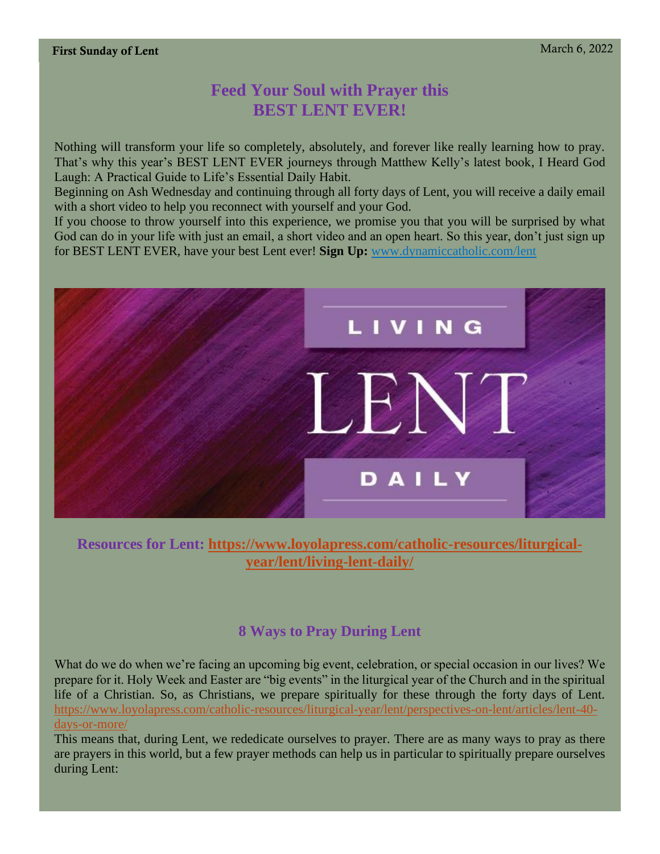# **Feed Your Soul with Prayer this BEST LENT EVER!**

Nothing will transform your life so completely, absolutely, and forever like really learning how to pray. That's why this year's BEST LENT EVER journeys through Matthew Kelly's latest book, I Heard God Laugh: A Practical Guide to Life's Essential Daily Habit.

Beginning on Ash Wednesday and continuing through all forty days of Lent, you will receive a daily email with a short video to help you reconnect with yourself and your God.

If you choose to throw yourself into this experience, we promise you that you will be surprised by what God can do in your life with just an email, a short video and an open heart. So this year, don't just sign up for BEST LENT EVER, have your best Lent ever! **Sign Up:** [www.dynamiccatholic.com/lent](http://www.dynamiccatholic.com/lent)



**Resources for Lent: [https://www.loyolapress.com/catholic-resources/liturgical](https://www.loyolapress.com/catholic-resources/liturgical-year/lent/living-lent-daily/)[year/lent/living-lent-daily/](https://www.loyolapress.com/catholic-resources/liturgical-year/lent/living-lent-daily/)**

# **8 Ways to Pray During Lent**

What do we do when we're facing an upcoming big event, celebration, or special occasion in our lives? We prepare for it. Holy Week and Easter are "big events" in the liturgical year of the Church and in the spiritual life of a Christian. So, as Christians, we prepare spiritually for these through the forty days of Lent. [https://www.loyolapress.com/catholic-resources/liturgical-year/lent/perspectives-on-lent/articles/lent-40](https://www.loyolapress.com/catholic-resources/liturgical-year/lent/perspectives-on-lent/articles/lent-40-days-or-more/) [days-or-more/](https://www.loyolapress.com/catholic-resources/liturgical-year/lent/perspectives-on-lent/articles/lent-40-days-or-more/)

This means that, during Lent, we rededicate ourselves to prayer. There are as many ways to pray as there are prayers in this world, but a few prayer methods can help us in particular to spiritually prepare ourselves during Lent: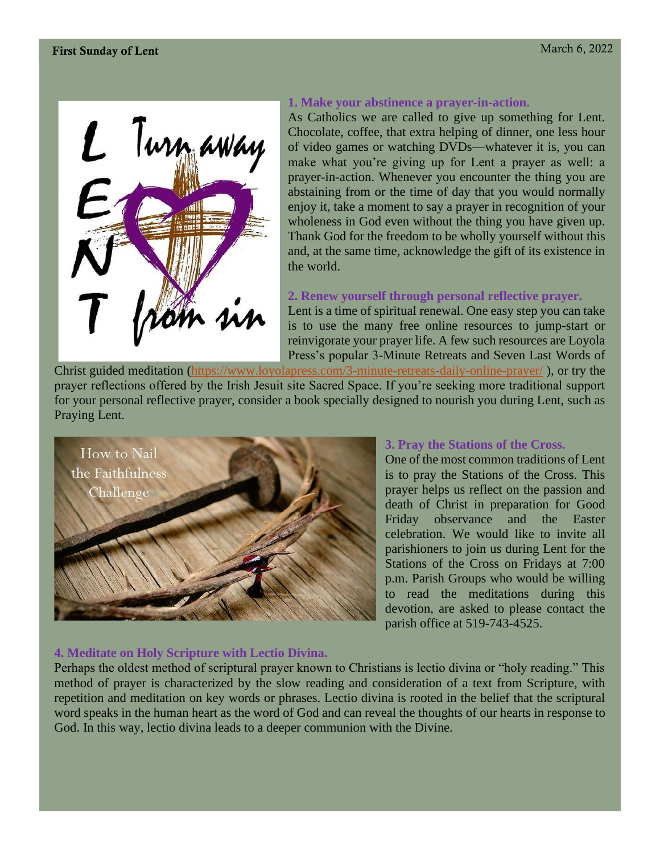

#### **1. Make your abstinence a prayer-in-action.**

As Catholics we are called to give up something for Lent. Chocolate, coffee, that extra helping of dinner, one less hour of video games or watching DVDs—whatever it is, you can make what you're giving up for Lent a prayer as well: a prayer-in-action. Whenever you encounter the thing you are abstaining from or the time of day that you would normally enjoy it, take a moment to say a prayer in recognition of your wholeness in God even without the thing you have given up. Thank God for the freedom to be wholly yourself without this and, at the same time, acknowledge the gift of its existence in the world.

#### **2. Renew yourself through personal reflective prayer.**

Lent is a time of spiritual renewal. One easy step you can take is to use the many free online resources to jump-start or reinvigorate your prayer life. A few such resources are Loyola Press's popular 3-Minute Retreats and Seven Last Words of

Christ guided meditation [\(https://www.loyolapress.com/3-minute-retreats-daily-online-prayer/](https://www.loyolapress.com/3-minute-retreats-daily-online-prayer/) ), or try the prayer reflections offered by the Irish Jesuit site Sacred Space. If you're seeking more traditional support for your personal reflective prayer, consider a book specially designed to nourish you during Lent, such as Praying Lent.



#### **3. Pray the Stations of the Cross.**

One of the most common traditions of Lent is to pray the Stations of the Cross. This prayer helps us reflect on the passion and death of Christ in preparation for Good Friday observance and the Easter celebration. We would like to invite all parishioners to join us during Lent for the Stations of the Cross on Fridays at 7:00 p.m. Parish Groups who would be willing to read the meditations during this devotion, are asked to please contact the parish office at 519-743-4525.

#### **4. Meditate on Holy Scripture with Lectio Divina.**

Perhaps the oldest method of scriptural prayer known to Christians is lectio divina or "holy reading." This method of prayer is characterized by the slow reading and consideration of a text from Scripture, with repetition and meditation on key words or phrases. Lectio divina is rooted in the belief that the scriptural word speaks in the human heart as the word of God and can reveal the thoughts of our hearts in response to God. In this way, lectio divina leads to a deeper communion with the Divine.